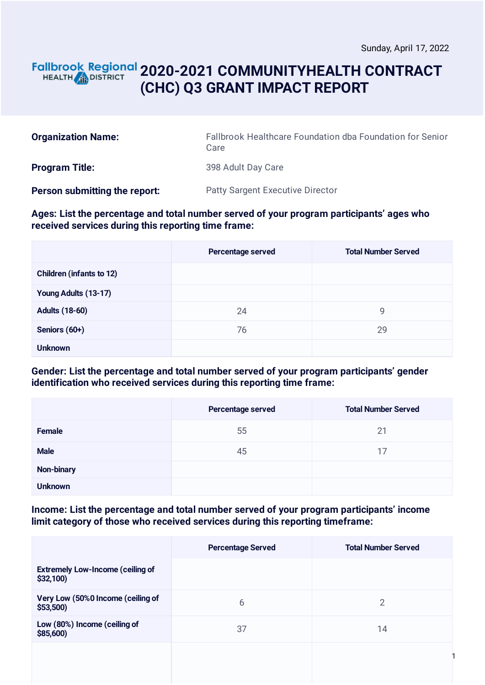## **2020-2021 COMMUNITYHEALTH CONTRACT** HEALTH **AND DISTRICT (CHC) Q3 GRANT IMPACT REPORT**

| <b>Organization Name:</b>     | Fallbrook Healthcare Foundation dba Foundation for Senior<br>Care |  |
|-------------------------------|-------------------------------------------------------------------|--|
| <b>Program Title:</b>         | 398 Adult Day Care                                                |  |
| Person submitting the report: | <b>Patty Sargent Executive Director</b>                           |  |

#### **Ages: List the percentage and total number served of your program participants' ages who received services during this reporting time frame:**

|                                 | Percentage served | <b>Total Number Served</b> |
|---------------------------------|-------------------|----------------------------|
| <b>Children (infants to 12)</b> |                   |                            |
| Young Adults (13-17)            |                   |                            |
| <b>Adults (18-60)</b>           | 24                | 9                          |
| Seniors (60+)                   | 76                | 29                         |
| <b>Unknown</b>                  |                   |                            |

### **Gender: List the percentage and total number served of your program participants' gender identification who received services during this reporting time frame:**

|                | Percentage served | <b>Total Number Served</b> |
|----------------|-------------------|----------------------------|
| <b>Female</b>  | 55                | 21                         |
| <b>Male</b>    | 45                | 17                         |
| Non-binary     |                   |                            |
| <b>Unknown</b> |                   |                            |

#### **Income: List the percentage and total number served of your program participants' income limit category of those who received services during this reporting timeframe:**

|                                                     | <b>Percentage Served</b> | <b>Total Number Served</b> |
|-----------------------------------------------------|--------------------------|----------------------------|
| <b>Extremely Low-Income (ceiling of</b><br>\$32,100 |                          |                            |
| Very Low (50%0 Income (ceiling of<br>\$53,500       | 6                        | 2                          |
| Low (80%) Income (ceiling of<br>\$85,600)           | 37                       | 14                         |
|                                                     |                          |                            |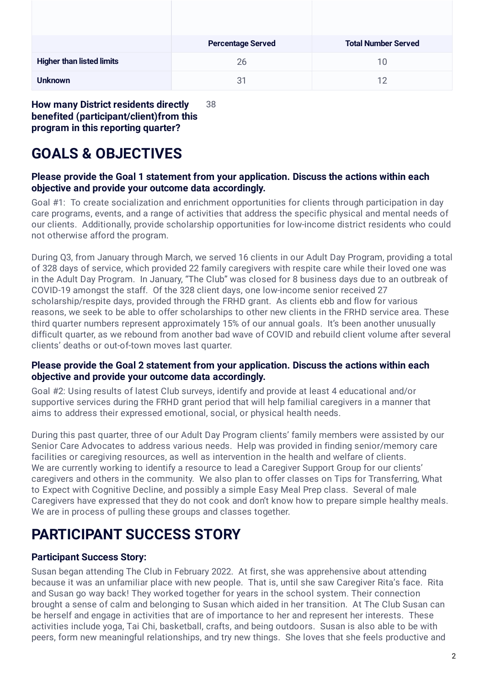|                                  | <b>Percentage Served</b> | <b>Total Number Served</b> |
|----------------------------------|--------------------------|----------------------------|
| <b>Higher than listed limits</b> | 26                       | 10                         |
| <b>Unknown</b>                   | 31                       | 12                         |

**How many District residents directly benefited (participant/client)from this program in this reporting quarter?** 38

# **GOALS & OBJECTIVES**

### **Please provide the Goal 1 statement from your application. Discuss the actions within each objective and provide your outcome data accordingly.**

Goal #1: To create socialization and enrichment opportunities for clients through participation in day care programs, events, and a range of activities that address the specific physical and mental needs of our clients. Additionally, provide scholarship opportunities for low-income district residents who could not otherwise afford the program.

During Q3, from January through March, we served 16 clients in our Adult Day Program, providing a total of 328 days of service, which provided 22 family caregivers with respite care while their loved one was in the Adult Day Program. In January, "The Club" was closed for 8 business days due to an outbreak of COVID-19 amongst the staff. Of the 328 client days, one low-income senior received 27 scholarship/respite days, provided through the FRHD grant. As clients ebb and flow for various reasons, we seek to be able to offer scholarships to other new clients in the FRHD service area. These third quarter numbers represent approximately 15% of our annual goals. It's been another unusually difficult quarter, as we rebound from another bad wave of COVID and rebuild client volume after several clients' deaths or out-of-town moves last quarter.

#### **Please provide the Goal 2 statement from your application. Discuss the actions within each objective and provide your outcome data accordingly.**

Goal #2: Using results of latest Club surveys, identify and provide at least 4 educational and/or supportive services during the FRHD grant period that will help familial caregivers in a manner that aims to address their expressed emotional, social, or physical health needs.

During this past quarter, three of our Adult Day Program clients' family members were assisted by our Senior Care Advocates to address various needs. Help was provided in finding senior/memory care facilities or caregiving resources, as well as intervention in the health and welfare of clients. We are currently working to identify a resource to lead a Caregiver Support Group for our clients' caregivers and others in the community. We also plan to offer classes on Tips for Transferring, What to Expect with Cognitive Decline, and possibly a simple Easy Meal Prep class. Several of male Caregivers have expressed that they do not cook and don't know how to prepare simple healthy meals. We are in process of pulling these groups and classes together.

# **PARTICIPANT SUCCESS STORY**

### **Participant Success Story:**

Susan began attending The Club in February 2022. At first, she was apprehensive about attending because it was an unfamiliar place with new people. That is, until she saw Caregiver Rita's face. Rita and Susan go way back! They worked together for years in the school system. Their connection brought a sense of calm and belonging to Susan which aided in her transition. At The Club Susan can be herself and engage in activities that are of importance to her and represent her interests. These activities include yoga, Tai Chi, basketball, crafts, and being outdoors. Susan is also able to be with peers, form new meaningful relationships, and try new things. She loves that she feels productive and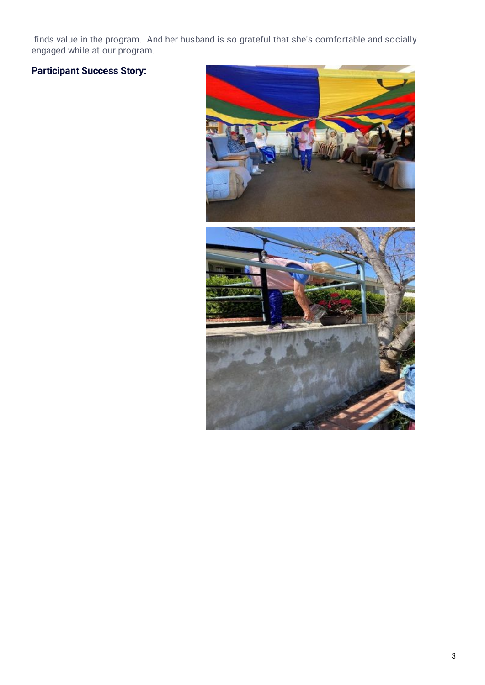finds value in the program. And her husband is so grateful that she's comfortable and socially engaged while at our program.

# **Participant Success Story:**

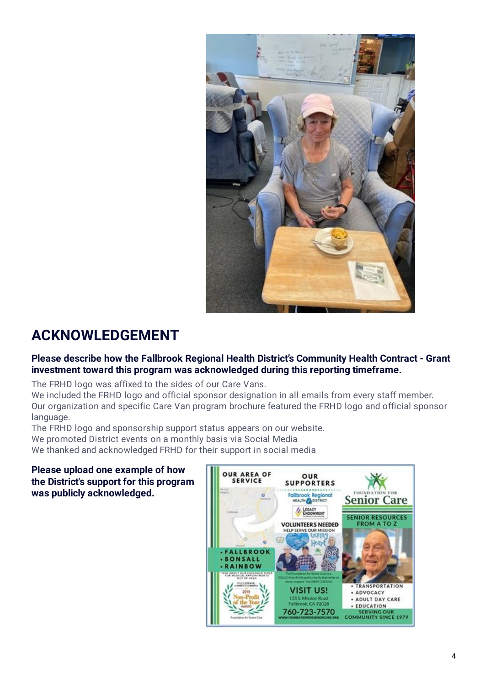

# **ACKNOWLEDGEMENT**

### **Please describe how the Fallbrook Regional Health District's Community Health Contract - Grant investment toward this program was acknowledged during this reporting timeframe.**

The FRHD logo was affixed to the sides of our Care Vans.

We included the FRHD logo and official sponsor designation in all emails from every staff member. Our organization and specific Care Van program brochure featured the FRHD logo and official sponsor language.

The FRHD logo and sponsorship support status appears on our website.

We promoted District events on a monthly basis via Social Media

We thanked and acknowledged FRHD for their support in social media

### **Please upload one example of how the District's support for this program was publicly acknowledged.**